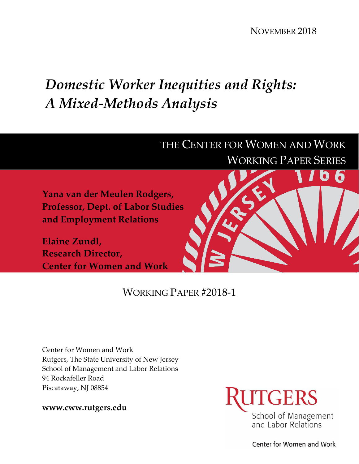NOVEMBER 2018

# *Domestic Worker Inequities and Rights: A Mixed-Methods Analysis*

## THE CENTER FOR WOMEN AND WORK WORKING PAPER SERIES

**Yana van der Meulen Rodgers, Professor, Dept. of Labor Studies and Employment Relations**

**Elaine Zundl, Research Director, Center for Women and Work**



### WORKING PAPER #2018-1

Center for Women and Work Rutgers, The State University of New Jersey School of Management and Labor Relations 94 Rockafeller Road Piscataway, NJ 08854

**www.cww.rutgers.edu**



Center for Women and Work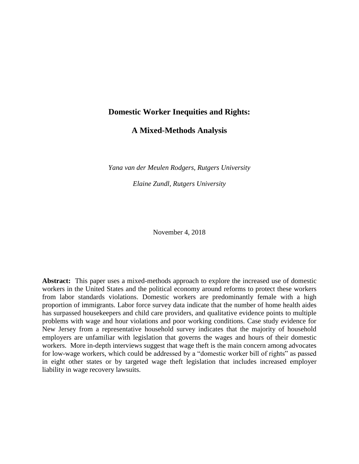#### **Domestic Worker Inequities and Rights:**

**A Mixed-Methods Analysis**

*Yana van der Meulen Rodgers, Rutgers University*

*Elaine Zundl, Rutgers University*

November 4, 2018

**Abstract:** This paper uses a mixed-methods approach to explore the increased use of domestic workers in the United States and the political economy around reforms to protect these workers from labor standards violations. Domestic workers are predominantly female with a high proportion of immigrants. Labor force survey data indicate that the number of home health aides has surpassed housekeepers and child care providers, and qualitative evidence points to multiple problems with wage and hour violations and poor working conditions. Case study evidence for New Jersey from a representative household survey indicates that the majority of household employers are unfamiliar with legislation that governs the wages and hours of their domestic workers. More in-depth interviews suggest that wage theft is the main concern among advocates for low-wage workers, which could be addressed by a "domestic worker bill of rights" as passed in eight other states or by targeted wage theft legislation that includes increased employer liability in wage recovery lawsuits.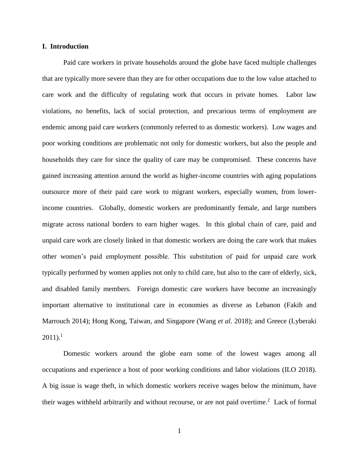#### **I. Introduction**

Paid care workers in private households around the globe have faced multiple challenges that are typically more severe than they are for other occupations due to the low value attached to care work and the difficulty of regulating work that occurs in private homes. Labor law violations, no benefits, lack of social protection, and precarious terms of employment are endemic among paid care workers (commonly referred to as domestic workers). Low wages and poor working conditions are problematic not only for domestic workers, but also the people and households they care for since the quality of care may be compromised. These concerns have gained increasing attention around the world as higher-income countries with aging populations outsource more of their paid care work to migrant workers, especially women, from lowerincome countries. Globally, domestic workers are predominantly female, and large numbers migrate across national borders to earn higher wages. In this global chain of care, paid and unpaid care work are closely linked in that domestic workers are doing the care work that makes other women's paid employment possible. This substitution of paid for unpaid care work typically performed by women applies not only to child care, but also to the care of elderly, sick, and disabled family members. Foreign domestic care workers have become an increasingly important alternative to institutional care in economies as diverse as Lebanon (Fakih and Marrouch 2014); Hong Kong, Taiwan, and Singapore (Wang *et al.* 2018); and Greece (Lyberaki  $2011$ ).<sup>1</sup>

Domestic workers around the globe earn some of the lowest wages among all occupations and experience a host of poor working conditions and labor violations (ILO 2018). A big issue is wage theft, in which domestic workers receive wages below the minimum, have their wages withheld arbitrarily and without recourse, or are not paid overtime.<sup>2</sup> Lack of formal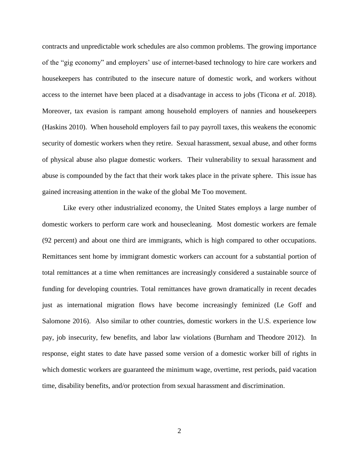contracts and unpredictable work schedules are also common problems. The growing importance of the "gig economy" and employers' use of internet-based technology to hire care workers and housekeepers has contributed to the insecure nature of domestic work, and workers without access to the internet have been placed at a disadvantage in access to jobs (Ticona *et al.* 2018). Moreover, tax evasion is rampant among household employers of nannies and housekeepers (Haskins 2010). When household employers fail to pay payroll taxes, this weakens the economic security of domestic workers when they retire. Sexual harassment, sexual abuse, and other forms of physical abuse also plague domestic workers. Their vulnerability to sexual harassment and abuse is compounded by the fact that their work takes place in the private sphere. This issue has gained increasing attention in the wake of the global Me Too movement.

Like every other industrialized economy, the United States employs a large number of domestic workers to perform care work and housecleaning. Most domestic workers are female (92 percent) and about one third are immigrants, which is high compared to other occupations. Remittances sent home by immigrant domestic workers can account for a substantial portion of total remittances at a time when remittances are increasingly considered a sustainable source of funding for developing countries. Total remittances have grown dramatically in recent decades just as international migration flows have become increasingly feminized (Le Goff and Salomone 2016). Also similar to other countries, domestic workers in the U.S. experience low pay, job insecurity, few benefits, and labor law violations (Burnham and Theodore 2012). In response, eight states to date have passed some version of a domestic worker bill of rights in which domestic workers are guaranteed the minimum wage, overtime, rest periods, paid vacation time, disability benefits, and/or protection from sexual harassment and discrimination.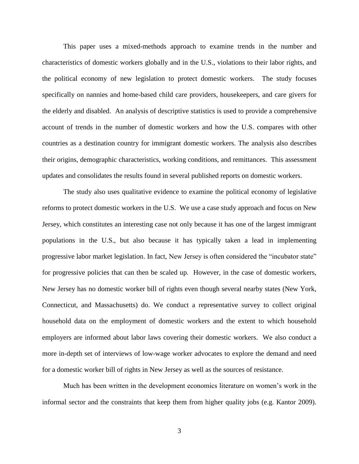This paper uses a mixed-methods approach to examine trends in the number and characteristics of domestic workers globally and in the U.S., violations to their labor rights, and the political economy of new legislation to protect domestic workers. The study focuses specifically on nannies and home-based child care providers, housekeepers, and care givers for the elderly and disabled. An analysis of descriptive statistics is used to provide a comprehensive account of trends in the number of domestic workers and how the U.S. compares with other countries as a destination country for immigrant domestic workers. The analysis also describes their origins, demographic characteristics, working conditions, and remittances. This assessment updates and consolidates the results found in several published reports on domestic workers.

The study also uses qualitative evidence to examine the political economy of legislative reforms to protect domestic workers in the U.S. We use a case study approach and focus on New Jersey, which constitutes an interesting case not only because it has one of the largest immigrant populations in the U.S., but also because it has typically taken a lead in implementing progressive labor market legislation. In fact, New Jersey is often considered the "incubator state" for progressive policies that can then be scaled up. However, in the case of domestic workers, New Jersey has no domestic worker bill of rights even though several nearby states (New York, Connecticut, and Massachusetts) do. We conduct a representative survey to collect original household data on the employment of domestic workers and the extent to which household employers are informed about labor laws covering their domestic workers. We also conduct a more in-depth set of interviews of low-wage worker advocates to explore the demand and need for a domestic worker bill of rights in New Jersey as well as the sources of resistance.

Much has been written in the development economics literature on women's work in the informal sector and the constraints that keep them from higher quality jobs (e.g. Kantor 2009).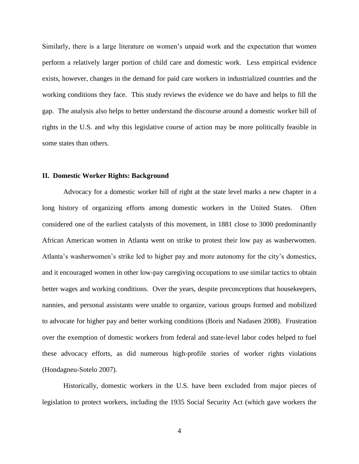Similarly, there is a large literature on women's unpaid work and the expectation that women perform a relatively larger portion of child care and domestic work. Less empirical evidence exists, however, changes in the demand for paid care workers in industrialized countries and the working conditions they face. This study reviews the evidence we do have and helps to fill the gap. The analysis also helps to better understand the discourse around a domestic worker bill of rights in the U.S. and why this legislative course of action may be more politically feasible in some states than others.

#### **II. Domestic Worker Rights: Background**

Advocacy for a domestic worker bill of right at the state level marks a new chapter in a long history of organizing efforts among domestic workers in the United States. Often considered one of the earliest catalysts of this movement, in 1881 close to 3000 predominantly African American women in Atlanta went on strike to protest their low pay as washerwomen. Atlanta's washerwomen's strike led to higher pay and more autonomy for the city's domestics, and it encouraged women in other low-pay caregiving occupations to use similar tactics to obtain better wages and working conditions. Over the years, despite preconceptions that housekeepers, nannies, and personal assistants were unable to organize, various groups formed and mobilized to advocate for higher pay and better working conditions (Boris and Nadasen 2008). Frustration over the exemption of domestic workers from federal and state-level labor codes helped to fuel these advocacy efforts, as did numerous high-profile stories of worker rights violations (Hondagneu-Sotelo 2007).

Historically, domestic workers in the U.S. have been excluded from major pieces of legislation to protect workers, including the 1935 Social Security Act (which gave workers the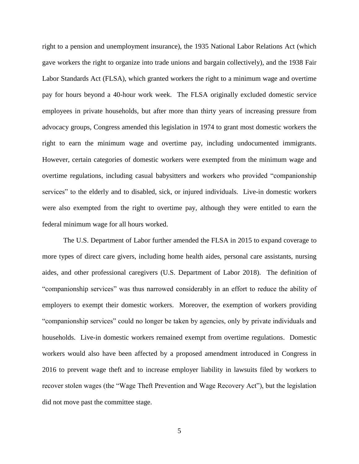right to a pension and unemployment insurance), the 1935 National Labor Relations Act (which gave workers the right to organize into trade unions and bargain collectively), and the 1938 Fair Labor Standards Act (FLSA), which granted workers the right to a minimum wage and overtime pay for hours beyond a 40-hour work week. The FLSA originally excluded domestic service employees in private households, but after more than thirty years of increasing pressure from advocacy groups, Congress amended this legislation in 1974 to grant most domestic workers the right to earn the minimum wage and overtime pay, including undocumented immigrants. However, certain categories of domestic workers were exempted from the minimum wage and overtime regulations, including casual babysitters and workers who provided "companionship services" to the elderly and to disabled, sick, or injured individuals. Live-in domestic workers were also exempted from the right to overtime pay, although they were entitled to earn the federal minimum wage for all hours worked.

The U.S. Department of Labor further amended the FLSA in 2015 to expand coverage to more types of direct care givers, including home health aides, personal care assistants, nursing aides, and other professional caregivers (U.S. Department of Labor 2018). The definition of "companionship services" was thus narrowed considerably in an effort to reduce the ability of employers to exempt their domestic workers. Moreover, the exemption of workers providing "companionship services" could no longer be taken by agencies, only by private individuals and households. Live-in domestic workers remained exempt from overtime regulations. Domestic workers would also have been affected by a proposed amendment introduced in Congress in 2016 to prevent wage theft and to increase employer liability in lawsuits filed by workers to recover stolen wages (the "Wage Theft Prevention and Wage Recovery Act"), but the legislation did not move past the committee stage.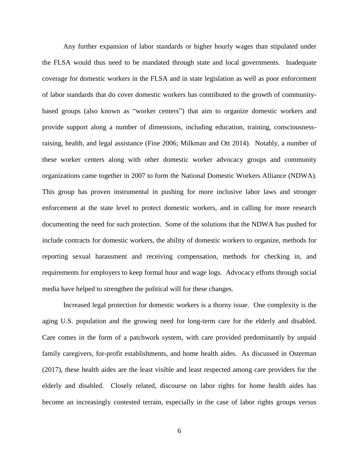Any further expansion of labor standards or higher hourly wages than stipulated under the FLSA would thus need to be mandated through state and local governments. Inadequate coverage for domestic workers in the FLSA and in state legislation as well as poor enforcement of labor standards that do cover domestic workers has contributed to the growth of communitybased groups (also known as "worker centers") that aim to organize domestic workers and provide support along a number of dimensions, including education, training, consciousnessraising, health, and legal assistance (Fine 2006; Milkman and Ott 2014). Notably, a number of these worker centers along with other domestic worker advocacy groups and community organizations came together in 2007 to form the National Domestic Workers Alliance (NDWA). This group has proven instrumental in pushing for more inclusive labor laws and stronger enforcement at the state level to protect domestic workers, and in calling for more research documenting the need for such protection. Some of the solutions that the NDWA has pushed for include contracts for domestic workers, the ability of domestic workers to organize, methods for reporting sexual harassment and receiving compensation, methods for checking in, and requirements for employers to keep formal hour and wage logs. Advocacy efforts through social media have helped to strengthen the political will for these changes.

Increased legal protection for domestic workers is a thorny issue. One complexity is the aging U.S. population and the growing need for long-term care for the elderly and disabled. Care comes in the form of a patchwork system, with care provided predominantly by unpaid family caregivers, for-profit establishments, and home health aides. As discussed in Osterman (2017), these health aides are the least visible and least respected among care providers for the elderly and disabled. Closely related, discourse on labor rights for home health aides has become an increasingly contested terrain, especially in the case of labor rights groups versus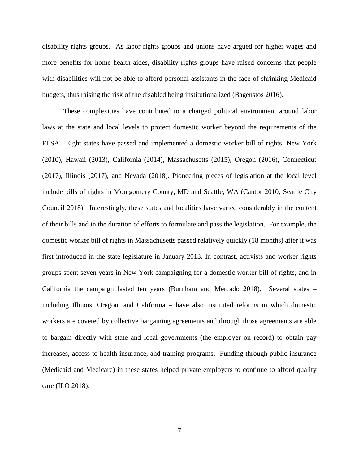disability rights groups. As labor rights groups and unions have argued for higher wages and more benefits for home health aides, disability rights groups have raised concerns that people with disabilities will not be able to afford personal assistants in the face of shrinking Medicaid budgets, thus raising the risk of the disabled being institutionalized (Bagenstos 2016).

These complexities have contributed to a charged political environment around labor laws at the state and local levels to protect domestic worker beyond the requirements of the FLSA. Eight states have passed and implemented a domestic worker bill of rights: New York (2010), Hawaii (2013), California (2014), Massachusetts (2015), Oregon (2016), Connecticut (2017), Illinois (2017), and Nevada (2018). Pioneering pieces of legislation at the local level include bills of rights in Montgomery County, MD and Seattle, WA (Cantor 2010; Seattle City Council 2018). Interestingly, these states and localities have varied considerably in the content of their bills and in the duration of efforts to formulate and pass the legislation. For example, the domestic worker bill of rights in Massachusetts passed relatively quickly (18 months) after it was first introduced in the state legislature in January 2013. In contrast, activists and worker rights groups spent seven years in New York campaigning for a domestic worker bill of rights, and in California the campaign lasted ten years (Burnham and Mercado 2018). Several states – including Illinois, Oregon, and California – have also instituted reforms in which domestic workers are covered by collective bargaining agreements and through those agreements are able to bargain directly with state and local governments (the employer on record) to obtain pay increases, access to health insurance, and training programs. Funding through public insurance (Medicaid and Medicare) in these states helped private employers to continue to afford quality care (ILO 2018).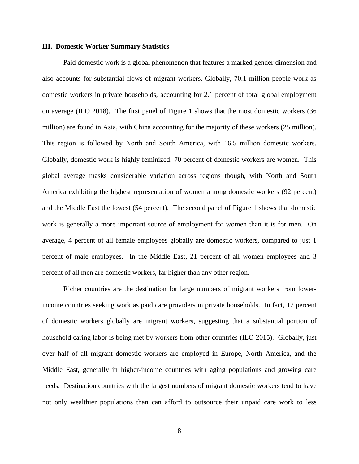#### **III. Domestic Worker Summary Statistics**

Paid domestic work is a global phenomenon that features a marked gender dimension and also accounts for substantial flows of migrant workers. Globally, 70.1 million people work as domestic workers in private households, accounting for 2.1 percent of total global employment on average (ILO 2018). The first panel of Figure 1 shows that the most domestic workers (36 million) are found in Asia, with China accounting for the majority of these workers (25 million). This region is followed by North and South America, with 16.5 million domestic workers. Globally, domestic work is highly feminized: 70 percent of domestic workers are women. This global average masks considerable variation across regions though, with North and South America exhibiting the highest representation of women among domestic workers (92 percent) and the Middle East the lowest (54 percent). The second panel of Figure 1 shows that domestic work is generally a more important source of employment for women than it is for men. On average, 4 percent of all female employees globally are domestic workers, compared to just 1 percent of male employees. In the Middle East, 21 percent of all women employees and 3 percent of all men are domestic workers, far higher than any other region.

Richer countries are the destination for large numbers of migrant workers from lowerincome countries seeking work as paid care providers in private households. In fact, 17 percent of domestic workers globally are migrant workers, suggesting that a substantial portion of household caring labor is being met by workers from other countries (ILO 2015). Globally, just over half of all migrant domestic workers are employed in Europe, North America, and the Middle East, generally in higher-income countries with aging populations and growing care needs. Destination countries with the largest numbers of migrant domestic workers tend to have not only wealthier populations than can afford to outsource their unpaid care work to less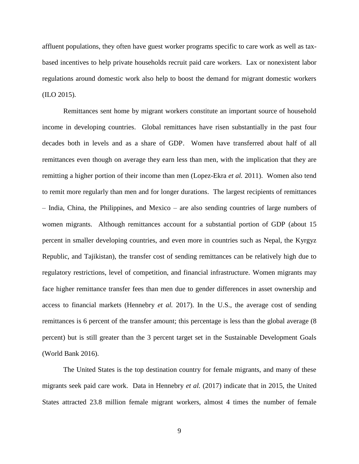affluent populations, they often have guest worker programs specific to care work as well as taxbased incentives to help private households recruit paid care workers. Lax or nonexistent labor regulations around domestic work also help to boost the demand for migrant domestic workers (ILO 2015).

Remittances sent home by migrant workers constitute an important source of household income in developing countries. Global remittances have risen substantially in the past four decades both in levels and as a share of GDP. Women have transferred about half of all remittances even though on average they earn less than men, with the implication that they are remitting a higher portion of their income than men (Lopez-Ekra *et al.* 2011). Women also tend to remit more regularly than men and for longer durations. The largest recipients of remittances – India, China, the Philippines, and Mexico – are also sending countries of large numbers of women migrants. Although remittances account for a substantial portion of GDP (about 15 percent in smaller developing countries, and even more in countries such as Nepal, the Kyrgyz Republic, and Tajikistan), the transfer cost of sending remittances can be relatively high due to regulatory restrictions, level of competition, and financial infrastructure. Women migrants may face higher remittance transfer fees than men due to gender differences in asset ownership and access to financial markets (Hennebry *et al.* 2017). In the U.S., the average cost of sending remittances is 6 percent of the transfer amount; this percentage is less than the global average (8 percent) but is still greater than the 3 percent target set in the Sustainable Development Goals (World Bank 2016).

The United States is the top destination country for female migrants, and many of these migrants seek paid care work. Data in Hennebry *et al.* (2017) indicate that in 2015, the United States attracted 23.8 million female migrant workers, almost 4 times the number of female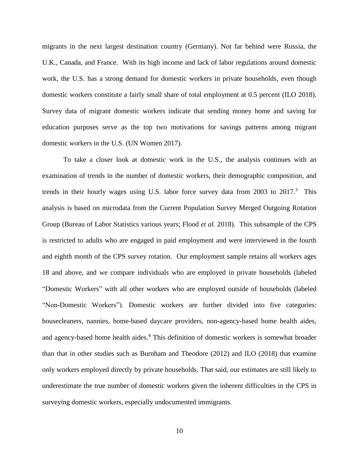migrants in the next largest destination country (Germany). Not far behind were Russia, the U.K., Canada, and France. With its high income and lack of labor regulations around domestic work, the U.S. has a strong demand for domestic workers in private households, even though domestic workers constitute a fairly small share of total employment at 0.5 percent (ILO 2018). Survey data of migrant domestic workers indicate that sending money home and saving for education purposes serve as the top two motivations for savings patterns among migrant domestic workers in the U.S. (UN Women 2017).

To take a closer look at domestic work in the U.S., the analysis continues with an examination of trends in the number of domestic workers, their demographic composition, and trends in their hourly wages using U.S. labor force survey data from 2003 to  $2017$ .<sup>3</sup> This analysis is based on microdata from the Current Population Survey Merged Outgoing Rotation Group (Bureau of Labor Statistics various years; Flood *et al.* 2018). This subsample of the CPS is restricted to adults who are engaged in paid employment and were interviewed in the fourth and eighth month of the CPS survey rotation. Our employment sample retains all workers ages 18 and above, and we compare individuals who are employed in private households (labeled "Domestic Workers" with all other workers who are employed outside of households (labeled "Non-Domestic Workers"). Domestic workers are further divided into five categories: housecleaners, nannies, home-based daycare providers, non-agency-based home health aides, and agency-based home health aides.<sup>4</sup> This definition of domestic workers is somewhat broader than that in other studies such as Burnham and Theodore (2012) and ILO (2018) that examine only workers employed directly by private households. That said, our estimates are still likely to underestimate the true number of domestic workers given the inherent difficulties in the CPS in surveying domestic workers, especially undocumented immigrants.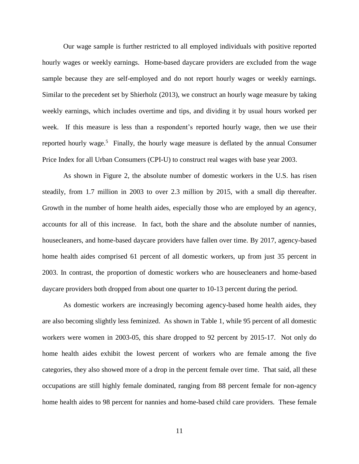Our wage sample is further restricted to all employed individuals with positive reported hourly wages or weekly earnings. Home-based daycare providers are excluded from the wage sample because they are self-employed and do not report hourly wages or weekly earnings. Similar to the precedent set by Shierholz (2013), we construct an hourly wage measure by taking weekly earnings, which includes overtime and tips, and dividing it by usual hours worked per week. If this measure is less than a respondent's reported hourly wage, then we use their reported hourly wage.<sup>5</sup> Finally, the hourly wage measure is deflated by the annual Consumer Price Index for all Urban Consumers (CPI-U) to construct real wages with base year 2003.

As shown in Figure 2, the absolute number of domestic workers in the U.S. has risen steadily, from 1.7 million in 2003 to over 2.3 million by 2015, with a small dip thereafter. Growth in the number of home health aides, especially those who are employed by an agency, accounts for all of this increase. In fact, both the share and the absolute number of nannies, housecleaners, and home-based daycare providers have fallen over time. By 2017, agency-based home health aides comprised 61 percent of all domestic workers, up from just 35 percent in 2003. In contrast, the proportion of domestic workers who are housecleaners and home-based daycare providers both dropped from about one quarter to 10-13 percent during the period.

As domestic workers are increasingly becoming agency-based home health aides, they are also becoming slightly less feminized. As shown in Table 1, while 95 percent of all domestic workers were women in 2003-05, this share dropped to 92 percent by 2015-17. Not only do home health aides exhibit the lowest percent of workers who are female among the five categories, they also showed more of a drop in the percent female over time. That said, all these occupations are still highly female dominated, ranging from 88 percent female for non-agency home health aides to 98 percent for nannies and home-based child care providers. These female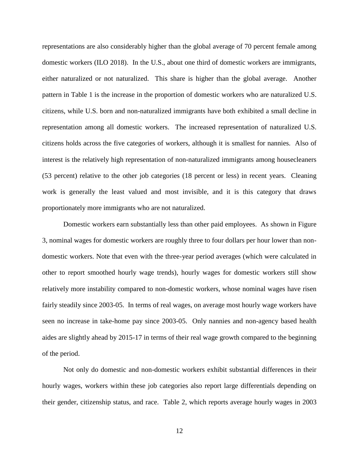representations are also considerably higher than the global average of 70 percent female among domestic workers (ILO 2018). In the U.S., about one third of domestic workers are immigrants, either naturalized or not naturalized. This share is higher than the global average. Another pattern in Table 1 is the increase in the proportion of domestic workers who are naturalized U.S. citizens, while U.S. born and non-naturalized immigrants have both exhibited a small decline in representation among all domestic workers. The increased representation of naturalized U.S. citizens holds across the five categories of workers, although it is smallest for nannies. Also of interest is the relatively high representation of non-naturalized immigrants among housecleaners (53 percent) relative to the other job categories (18 percent or less) in recent years. Cleaning work is generally the least valued and most invisible, and it is this category that draws proportionately more immigrants who are not naturalized.

Domestic workers earn substantially less than other paid employees. As shown in Figure 3, nominal wages for domestic workers are roughly three to four dollars per hour lower than nondomestic workers. Note that even with the three-year period averages (which were calculated in other to report smoothed hourly wage trends), hourly wages for domestic workers still show relatively more instability compared to non-domestic workers, whose nominal wages have risen fairly steadily since 2003-05. In terms of real wages, on average most hourly wage workers have seen no increase in take-home pay since 2003-05. Only nannies and non-agency based health aides are slightly ahead by 2015-17 in terms of their real wage growth compared to the beginning of the period.

Not only do domestic and non-domestic workers exhibit substantial differences in their hourly wages, workers within these job categories also report large differentials depending on their gender, citizenship status, and race. Table 2, which reports average hourly wages in 2003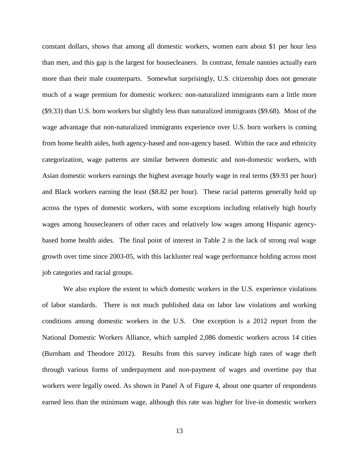constant dollars, shows that among all domestic workers, women earn about \$1 per hour less than men, and this gap is the largest for housecleaners. In contrast, female nannies actually earn more than their male counterparts. Somewhat surprisingly, U.S. citizenship does not generate much of a wage premium for domestic workers: non-naturalized immigrants earn a little more (\$9.33) than U.S. born workers but slightly less than naturalized immigrants (\$9.68). Most of the wage advantage that non-naturalized immigrants experience over U.S. born workers is coming from home health aides, both agency-based and non-agency based. Within the race and ethnicity categorization, wage patterns are similar between domestic and non-domestic workers, with Asian domestic workers earnings the highest average hourly wage in real terms (\$9.93 per hour) and Black workers earning the least (\$8.82 per hour). These racial patterns generally hold up across the types of domestic workers, with some exceptions including relatively high hourly wages among housecleaners of other races and relatively low wages among Hispanic agencybased home health aides. The final point of interest in Table 2 is the lack of strong real wage growth over time since 2003-05, with this lackluster real wage performance holding across most job categories and racial groups.

We also explore the extent to which domestic workers in the U.S. experience violations of labor standards. There is not much published data on labor law violations and working conditions among domestic workers in the U.S. One exception is a 2012 report from the National Domestic Workers Alliance, which sampled 2,086 domestic workers across 14 cities (Burnham and Theodore 2012). Results from this survey indicate high rates of wage theft through various forms of underpayment and non-payment of wages and overtime pay that workers were legally owed. As shown in Panel A of Figure 4, about one quarter of respondents earned less than the minimum wage, although this rate was higher for live-in domestic workers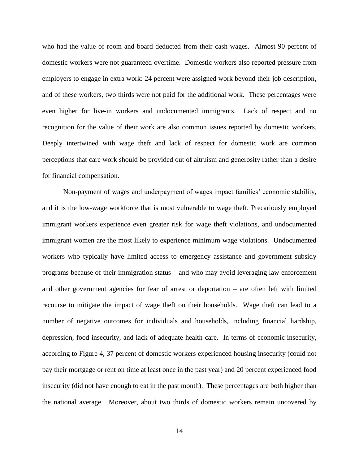who had the value of room and board deducted from their cash wages. Almost 90 percent of domestic workers were not guaranteed overtime. Domestic workers also reported pressure from employers to engage in extra work: 24 percent were assigned work beyond their job description, and of these workers, two thirds were not paid for the additional work. These percentages were even higher for live-in workers and undocumented immigrants. Lack of respect and no recognition for the value of their work are also common issues reported by domestic workers. Deeply intertwined with wage theft and lack of respect for domestic work are common perceptions that care work should be provided out of altruism and generosity rather than a desire for financial compensation.

Non-payment of wages and underpayment of wages impact families' economic stability, and it is the low-wage workforce that is most vulnerable to wage theft. Precariously employed immigrant workers experience even greater risk for wage theft violations, and undocumented immigrant women are the most likely to experience minimum wage violations. Undocumented workers who typically have limited access to emergency assistance and government subsidy programs because of their immigration status – and who may avoid leveraging law enforcement and other government agencies for fear of arrest or deportation – are often left with limited recourse to mitigate the impact of wage theft on their households. Wage theft can lead to a number of negative outcomes for individuals and households, including financial hardship, depression, food insecurity, and lack of adequate health care. In terms of economic insecurity, according to Figure 4, 37 percent of domestic workers experienced housing insecurity (could not pay their mortgage or rent on time at least once in the past year) and 20 percent experienced food insecurity (did not have enough to eat in the past month). These percentages are both higher than the national average. Moreover, about two thirds of domestic workers remain uncovered by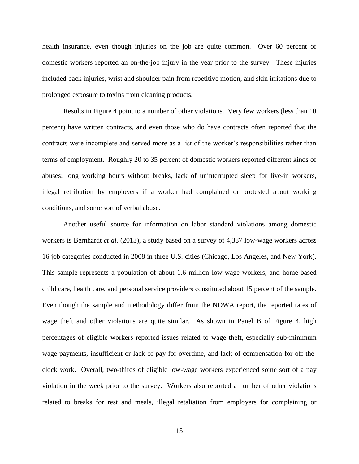health insurance, even though injuries on the job are quite common. Over 60 percent of domestic workers reported an on-the-job injury in the year prior to the survey. These injuries included back injuries, wrist and shoulder pain from repetitive motion, and skin irritations due to prolonged exposure to toxins from cleaning products.

Results in Figure 4 point to a number of other violations. Very few workers (less than 10 percent) have written contracts, and even those who do have contracts often reported that the contracts were incomplete and served more as a list of the worker's responsibilities rather than terms of employment. Roughly 20 to 35 percent of domestic workers reported different kinds of abuses: long working hours without breaks, lack of uninterrupted sleep for live-in workers, illegal retribution by employers if a worker had complained or protested about working conditions, and some sort of verbal abuse.

Another useful source for information on labor standard violations among domestic workers is Bernhardt *et al.* (2013), a study based on a survey of 4,387 low-wage workers across 16 job categories conducted in 2008 in three U.S. cities (Chicago, Los Angeles, and New York). This sample represents a population of about 1.6 million low-wage workers, and home-based child care, health care, and personal service providers constituted about 15 percent of the sample. Even though the sample and methodology differ from the NDWA report, the reported rates of wage theft and other violations are quite similar. As shown in Panel B of Figure 4, high percentages of eligible workers reported issues related to wage theft, especially sub-minimum wage payments, insufficient or lack of pay for overtime, and lack of compensation for off-theclock work. Overall, two-thirds of eligible low-wage workers experienced some sort of a pay violation in the week prior to the survey. Workers also reported a number of other violations related to breaks for rest and meals, illegal retaliation from employers for complaining or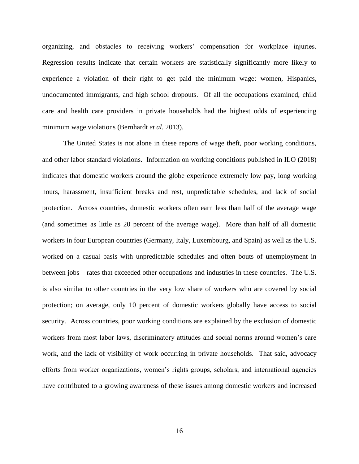organizing, and obstacles to receiving workers' compensation for workplace injuries. Regression results indicate that certain workers are statistically significantly more likely to experience a violation of their right to get paid the minimum wage: women, Hispanics, undocumented immigrants, and high school dropouts. Of all the occupations examined, child care and health care providers in private households had the highest odds of experiencing minimum wage violations (Bernhardt *et al.* 2013).

The United States is not alone in these reports of wage theft, poor working conditions, and other labor standard violations. Information on working conditions published in ILO (2018) indicates that domestic workers around the globe experience extremely low pay, long working hours, harassment, insufficient breaks and rest, unpredictable schedules, and lack of social protection. Across countries, domestic workers often earn less than half of the average wage (and sometimes as little as 20 percent of the average wage). More than half of all domestic workers in four European countries (Germany, Italy, Luxembourg, and Spain) as well as the U.S. worked on a casual basis with unpredictable schedules and often bouts of unemployment in between jobs – rates that exceeded other occupations and industries in these countries. The U.S. is also similar to other countries in the very low share of workers who are covered by social protection; on average, only 10 percent of domestic workers globally have access to social security. Across countries, poor working conditions are explained by the exclusion of domestic workers from most labor laws, discriminatory attitudes and social norms around women's care work, and the lack of visibility of work occurring in private households. That said, advocacy efforts from worker organizations, women's rights groups, scholars, and international agencies have contributed to a growing awareness of these issues among domestic workers and increased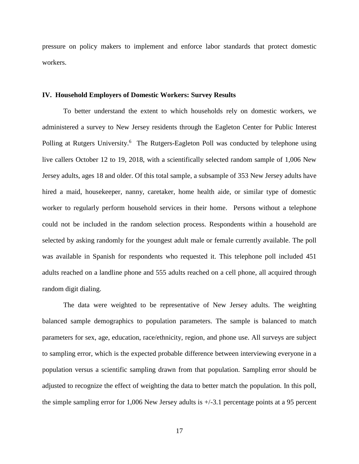pressure on policy makers to implement and enforce labor standards that protect domestic workers.

#### **IV. Household Employers of Domestic Workers: Survey Results**

To better understand the extent to which households rely on domestic workers, we administered a survey to New Jersey residents through the Eagleton Center for Public Interest Polling at Rutgers University.<sup>6</sup> The Rutgers-Eagleton Poll was conducted by telephone using live callers October 12 to 19, 2018, with a scientifically selected random sample of 1,006 New Jersey adults, ages 18 and older. Of this total sample, a subsample of 353 New Jersey adults have hired a maid, housekeeper, nanny, caretaker, home health aide, or similar type of domestic worker to regularly perform household services in their home. Persons without a telephone could not be included in the random selection process. Respondents within a household are selected by asking randomly for the youngest adult male or female currently available. The poll was available in Spanish for respondents who requested it. This telephone poll included 451 adults reached on a landline phone and 555 adults reached on a cell phone, all acquired through random digit dialing.

The data were weighted to be representative of New Jersey adults. The weighting balanced sample demographics to population parameters. The sample is balanced to match parameters for sex, age, education, race/ethnicity, region, and phone use. All surveys are subject to sampling error, which is the expected probable difference between interviewing everyone in a population versus a scientific sampling drawn from that population. Sampling error should be adjusted to recognize the effect of weighting the data to better match the population. In this poll, the simple sampling error for 1,006 New Jersey adults is  $+/-3.1$  percentage points at a 95 percent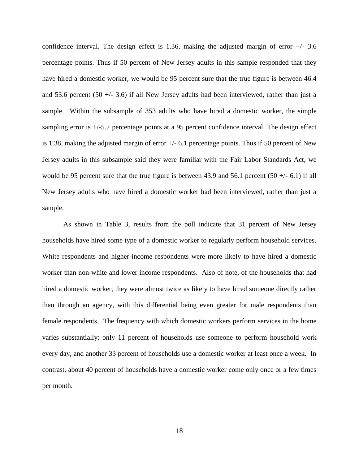confidence interval. The design effect is 1.36, making the adjusted margin of error  $+/- 3.6$ percentage points. Thus if 50 percent of New Jersey adults in this sample responded that they have hired a domestic worker, we would be 95 percent sure that the true figure is between 46.4 and 53.6 percent (50  $+/-$  3.6) if all New Jersey adults had been interviewed, rather than just a sample. Within the subsample of 353 adults who have hired a domestic worker, the simple sampling error is +/-5.2 percentage points at a 95 percent confidence interval. The design effect is 1.38, making the adjusted margin of error  $+/- 6.1$  percentage points. Thus if 50 percent of New Jersey adults in this subsample said they were familiar with the Fair Labor Standards Act, we would be 95 percent sure that the true figure is between 43.9 and 56.1 percent  $(50 +/- 6.1)$  if all New Jersey adults who have hired a domestic worker had been interviewed, rather than just a sample.

As shown in Table 3, results from the poll indicate that 31 percent of New Jersey households have hired some type of a domestic worker to regularly perform household services. White respondents and higher-income respondents were more likely to have hired a domestic worker than non-white and lower income respondents. Also of note, of the households that had hired a domestic worker, they were almost twice as likely to have hired someone directly rather than through an agency, with this differential being even greater for male respondents than female respondents. The frequency with which domestic workers perform services in the home varies substantially: only 11 percent of households use someone to perform household work every day, and another 33 percent of households use a domestic worker at least once a week. In contrast, about 40 percent of households have a domestic worker come only once or a few times per month.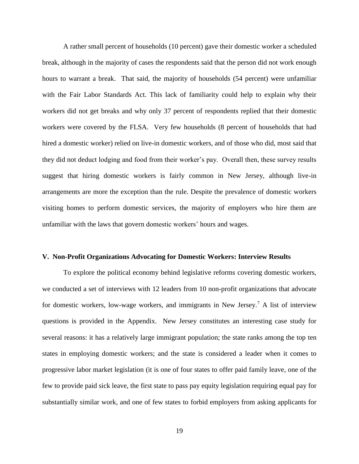A rather small percent of households (10 percent) gave their domestic worker a scheduled break, although in the majority of cases the respondents said that the person did not work enough hours to warrant a break. That said, the majority of households (54 percent) were unfamiliar with the Fair Labor Standards Act. This lack of familiarity could help to explain why their workers did not get breaks and why only 37 percent of respondents replied that their domestic workers were covered by the FLSA. Very few households (8 percent of households that had hired a domestic worker) relied on live-in domestic workers, and of those who did, most said that they did not deduct lodging and food from their worker's pay. Overall then, these survey results suggest that hiring domestic workers is fairly common in New Jersey, although live-in arrangements are more the exception than the rule. Despite the prevalence of domestic workers visiting homes to perform domestic services, the majority of employers who hire them are unfamiliar with the laws that govern domestic workers' hours and wages.

#### **V. Non-Profit Organizations Advocating for Domestic Workers: Interview Results**

To explore the political economy behind legislative reforms covering domestic workers, we conducted a set of interviews with 12 leaders from 10 non-profit organizations that advocate for domestic workers, low-wage workers, and immigrants in New Jersey. <sup>7</sup> A list of interview questions is provided in the Appendix. New Jersey constitutes an interesting case study for several reasons: it has a relatively large immigrant population; the state ranks among the top ten states in employing domestic workers; and the state is considered a leader when it comes to progressive labor market legislation (it is one of four states to offer paid family leave, one of the few to provide paid sick leave, the first state to pass pay equity legislation requiring equal pay for substantially similar work, and one of few states to forbid employers from asking applicants for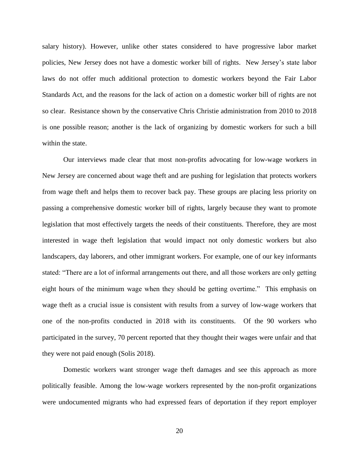salary history). However, unlike other states considered to have progressive labor market policies, New Jersey does not have a domestic worker bill of rights. New Jersey's state labor laws do not offer much additional protection to domestic workers beyond the Fair Labor Standards Act, and the reasons for the lack of action on a domestic worker bill of rights are not so clear. Resistance shown by the conservative Chris Christie administration from 2010 to 2018 is one possible reason; another is the lack of organizing by domestic workers for such a bill within the state.

Our interviews made clear that most non-profits advocating for low-wage workers in New Jersey are concerned about wage theft and are pushing for legislation that protects workers from wage theft and helps them to recover back pay. These groups are placing less priority on passing a comprehensive domestic worker bill of rights, largely because they want to promote legislation that most effectively targets the needs of their constituents. Therefore, they are most interested in wage theft legislation that would impact not only domestic workers but also landscapers, day laborers, and other immigrant workers. For example, one of our key informants stated: "There are a lot of informal arrangements out there, and all those workers are only getting eight hours of the minimum wage when they should be getting overtime." This emphasis on wage theft as a crucial issue is consistent with results from a survey of low-wage workers that one of the non-profits conducted in 2018 with its constituents. Of the 90 workers who participated in the survey, 70 percent reported that they thought their wages were unfair and that they were not paid enough (Solis 2018).

Domestic workers want stronger wage theft damages and see this approach as more politically feasible. Among the low-wage workers represented by the non-profit organizations were undocumented migrants who had expressed fears of deportation if they report employer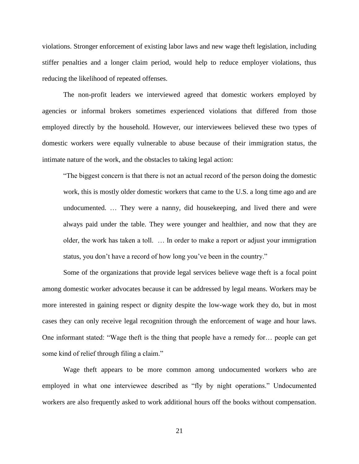violations. Stronger enforcement of existing labor laws and new wage theft legislation, including stiffer penalties and a longer claim period, would help to reduce employer violations, thus reducing the likelihood of repeated offenses.

The non-profit leaders we interviewed agreed that domestic workers employed by agencies or informal brokers sometimes experienced violations that differed from those employed directly by the household. However, our interviewees believed these two types of domestic workers were equally vulnerable to abuse because of their immigration status, the intimate nature of the work, and the obstacles to taking legal action:

"The biggest concern is that there is not an actual record of the person doing the domestic work, this is mostly older domestic workers that came to the U.S. a long time ago and are undocumented. … They were a nanny, did housekeeping, and lived there and were always paid under the table. They were younger and healthier, and now that they are older, the work has taken a toll. … In order to make a report or adjust your immigration status, you don't have a record of how long you've been in the country."

Some of the organizations that provide legal services believe wage theft is a focal point among domestic worker advocates because it can be addressed by legal means. Workers may be more interested in gaining respect or dignity despite the low-wage work they do, but in most cases they can only receive legal recognition through the enforcement of wage and hour laws. One informant stated: "Wage theft is the thing that people have a remedy for… people can get some kind of relief through filing a claim."

Wage theft appears to be more common among undocumented workers who are employed in what one interviewee described as "fly by night operations." Undocumented workers are also frequently asked to work additional hours off the books without compensation.

21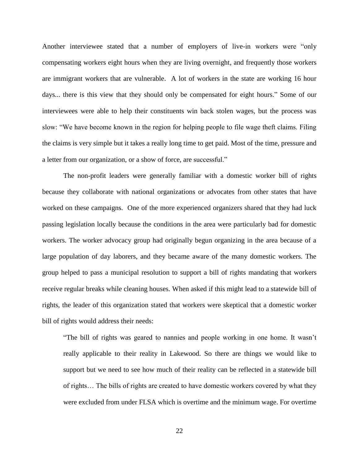Another interviewee stated that a number of employers of live-in workers were "only compensating workers eight hours when they are living overnight, and frequently those workers are immigrant workers that are vulnerable. A lot of workers in the state are working 16 hour days... there is this view that they should only be compensated for eight hours." Some of our interviewees were able to help their constituents win back stolen wages, but the process was slow: "We have become known in the region for helping people to file wage theft claims. Filing the claims is very simple but it takes a really long time to get paid. Most of the time, pressure and a letter from our organization, or a show of force, are successful."

The non-profit leaders were generally familiar with a domestic worker bill of rights because they collaborate with national organizations or advocates from other states that have worked on these campaigns. One of the more experienced organizers shared that they had luck passing legislation locally because the conditions in the area were particularly bad for domestic workers. The worker advocacy group had originally begun organizing in the area because of a large population of day laborers, and they became aware of the many domestic workers. The group helped to pass a municipal resolution to support a bill of rights mandating that workers receive regular breaks while cleaning houses. When asked if this might lead to a statewide bill of rights, the leader of this organization stated that workers were skeptical that a domestic worker bill of rights would address their needs:

"The bill of rights was geared to nannies and people working in one home. It wasn't really applicable to their reality in Lakewood. So there are things we would like to support but we need to see how much of their reality can be reflected in a statewide bill of rights… The bills of rights are created to have domestic workers covered by what they were excluded from under FLSA which is overtime and the minimum wage. For overtime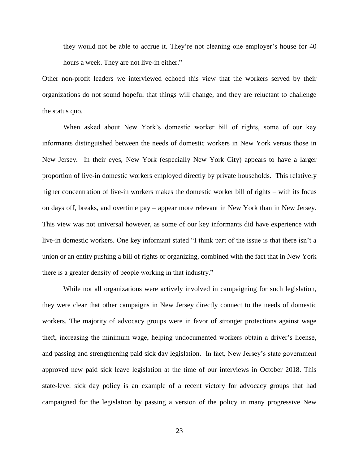they would not be able to accrue it. They're not cleaning one employer's house for 40 hours a week. They are not live-in either."

Other non-profit leaders we interviewed echoed this view that the workers served by their organizations do not sound hopeful that things will change, and they are reluctant to challenge the status quo.

When asked about New York's domestic worker bill of rights, some of our key informants distinguished between the needs of domestic workers in New York versus those in New Jersey. In their eyes, New York (especially New York City) appears to have a larger proportion of live-in domestic workers employed directly by private households. This relatively higher concentration of live-in workers makes the domestic worker bill of rights – with its focus on days off, breaks, and overtime pay – appear more relevant in New York than in New Jersey. This view was not universal however, as some of our key informants did have experience with live-in domestic workers. One key informant stated "I think part of the issue is that there isn't a union or an entity pushing a bill of rights or organizing, combined with the fact that in New York there is a greater density of people working in that industry."

While not all organizations were actively involved in campaigning for such legislation, they were clear that other campaigns in New Jersey directly connect to the needs of domestic workers. The majority of advocacy groups were in favor of stronger protections against wage theft, increasing the minimum wage, helping undocumented workers obtain a driver's license, and passing and strengthening paid sick day legislation. In fact, New Jersey's state government approved new paid sick leave legislation at the time of our interviews in October 2018. This state-level sick day policy is an example of a recent victory for advocacy groups that had campaigned for the legislation by passing a version of the policy in many progressive New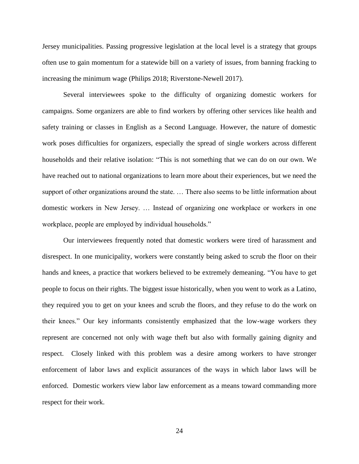Jersey municipalities. Passing progressive legislation at the local level is a strategy that groups often use to gain momentum for a statewide bill on a variety of issues, from banning fracking to increasing the minimum wage (Philips 2018; Riverstone-Newell 2017).

Several interviewees spoke to the difficulty of organizing domestic workers for campaigns. Some organizers are able to find workers by offering other services like health and safety training or classes in English as a Second Language. However, the nature of domestic work poses difficulties for organizers, especially the spread of single workers across different households and their relative isolation: "This is not something that we can do on our own. We have reached out to national organizations to learn more about their experiences, but we need the support of other organizations around the state. … There also seems to be little information about domestic workers in New Jersey. … Instead of organizing one workplace or workers in one workplace, people are employed by individual households."

Our interviewees frequently noted that domestic workers were tired of harassment and disrespect. In one municipality, workers were constantly being asked to scrub the floor on their hands and knees, a practice that workers believed to be extremely demeaning. "You have to get people to focus on their rights. The biggest issue historically, when you went to work as a Latino, they required you to get on your knees and scrub the floors, and they refuse to do the work on their knees." Our key informants consistently emphasized that the low-wage workers they represent are concerned not only with wage theft but also with formally gaining dignity and respect. Closely linked with this problem was a desire among workers to have stronger enforcement of labor laws and explicit assurances of the ways in which labor laws will be enforced. Domestic workers view labor law enforcement as a means toward commanding more respect for their work.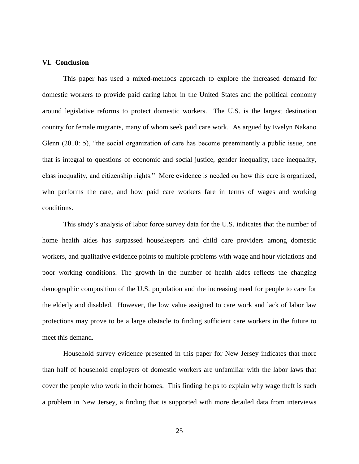#### **VI. Conclusion**

This paper has used a mixed-methods approach to explore the increased demand for domestic workers to provide paid caring labor in the United States and the political economy around legislative reforms to protect domestic workers. The U.S. is the largest destination country for female migrants, many of whom seek paid care work. As argued by Evelyn Nakano Glenn (2010: 5), "the social organization of care has become preeminently a public issue, one that is integral to questions of economic and social justice, gender inequality, race inequality, class inequality, and citizenship rights." More evidence is needed on how this care is organized, who performs the care, and how paid care workers fare in terms of wages and working conditions.

This study's analysis of labor force survey data for the U.S. indicates that the number of home health aides has surpassed housekeepers and child care providers among domestic workers, and qualitative evidence points to multiple problems with wage and hour violations and poor working conditions. The growth in the number of health aides reflects the changing demographic composition of the U.S. population and the increasing need for people to care for the elderly and disabled. However, the low value assigned to care work and lack of labor law protections may prove to be a large obstacle to finding sufficient care workers in the future to meet this demand.

Household survey evidence presented in this paper for New Jersey indicates that more than half of household employers of domestic workers are unfamiliar with the labor laws that cover the people who work in their homes. This finding helps to explain why wage theft is such a problem in New Jersey, a finding that is supported with more detailed data from interviews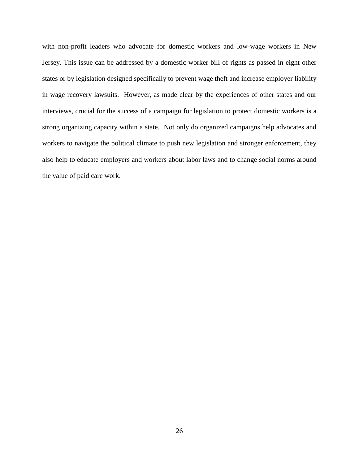with non-profit leaders who advocate for domestic workers and low-wage workers in New Jersey. This issue can be addressed by a domestic worker bill of rights as passed in eight other states or by legislation designed specifically to prevent wage theft and increase employer liability in wage recovery lawsuits. However, as made clear by the experiences of other states and our interviews, crucial for the success of a campaign for legislation to protect domestic workers is a strong organizing capacity within a state. Not only do organized campaigns help advocates and workers to navigate the political climate to push new legislation and stronger enforcement, they also help to educate employers and workers about labor laws and to change social norms around the value of paid care work.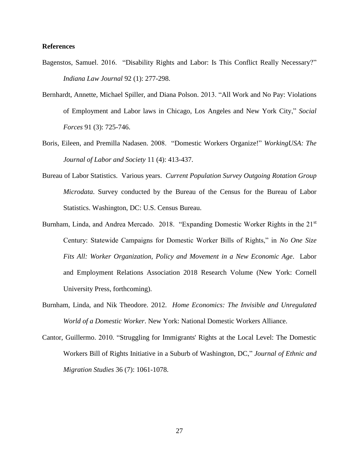#### **References**

- Bagenstos, Samuel. 2016. "Disability Rights and Labor: Is This Conflict Really Necessary?" *Indiana Law Journal* 92 (1): 277-298.
- Bernhardt, Annette, Michael Spiller, and Diana Polson. 2013. "All Work and No Pay: Violations of Employment and Labor laws in Chicago, Los Angeles and New York City," *Social Forces* 91 (3): 725-746.
- Boris, Eileen, and Premilla Nadasen. 2008. "Domestic Workers Organize!" *WorkingUSA: The Journal of Labor and Society* 11 (4): 413-437.
- Bureau of Labor Statistics. Various years. *Current Population Survey Outgoing Rotation Group Microdata*. Survey conducted by the Bureau of the Census for the Bureau of Labor Statistics. Washington, DC: U.S. Census Bureau.
- Burnham, Linda, and Andrea Mercado. 2018. "Expanding Domestic Worker Rights in the 21<sup>st</sup> Century: Statewide Campaigns for Domestic Worker Bills of Rights," in *No One Size Fits All: Worker Organization, Policy and Movement in a New Economic Age*. Labor and Employment Relations Association 2018 Research Volume (New York: Cornell University Press, forthcoming).
- Burnham, Linda, and Nik Theodore. 2012. *Home Economics: The Invisible and Unregulated World of a Domestic Worker*. New York: National Domestic Workers Alliance.
- Cantor, Guillermo. 2010. "Struggling for Immigrants' Rights at the Local Level: The Domestic Workers Bill of Rights Initiative in a Suburb of Washington, DC," *Journal of Ethnic and Migration Studies* 36 (7): 1061-1078.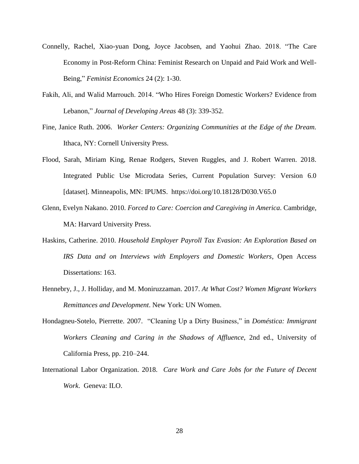- Connelly, Rachel, Xiao-yuan Dong, Joyce Jacobsen, and Yaohui Zhao. 2018. "The Care Economy in Post-Reform China: Feminist Research on Unpaid and Paid Work and Well-Being," *Feminist Economics* 24 (2): 1-30.
- Fakih, Ali, and Walid Marrouch. 2014. "Who Hires Foreign Domestic Workers? Evidence from Lebanon," *Journal of Developing Areas* 48 (3): 339-352.
- Fine, Janice Ruth. 2006. *Worker Centers: Organizing Communities at the Edge of the Dream.* Ithaca, NY: Cornell University Press.
- Flood, Sarah, Miriam King, Renae Rodgers, Steven Ruggles, and J. Robert Warren. 2018. Integrated Public Use Microdata Series, Current Population Survey: Version 6.0 [dataset]. Minneapolis, MN: IPUMS. https://doi.org/10.18128/D030.V65.0
- Glenn, Evelyn Nakano. 2010. *Forced to Care: Coercion and Caregiving in America*. Cambridge, MA: Harvard University Press.
- Haskins, Catherine. 2010. *Household Employer Payroll Tax Evasion: An Exploration Based on IRS Data and on Interviews with Employers and Domestic Workers*, Open Access Dissertations: 163.
- Hennebry, J., J. Holliday, and M. Moniruzzaman. 2017. *At What Cost? Women Migrant Workers Remittances and Development*. New York: UN Women.
- Hondagneu-Sotelo, Pierrette. 2007. "Cleaning Up a Dirty Business," in *Doméstica: Immigrant Workers Cleaning and Caring in the Shadows of Affluence*, 2nd ed., University of California Press, pp. 210–244.
- International Labor Organization. 2018. *Care Work and Care Jobs for the Future of Decent Work*. Geneva: ILO.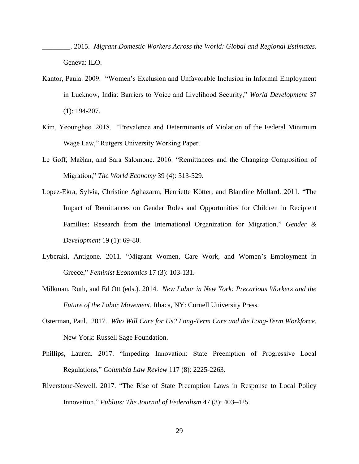- \_\_\_\_\_\_\_\_. 2015. *Migrant Domestic Workers Across the World: Global and Regional Estimates*. Geneva: ILO.
- Kantor, Paula. 2009. "Women's Exclusion and Unfavorable Inclusion in Informal Employment in Lucknow, India: Barriers to Voice and Livelihood Security," *World Development* 37 (1): 194-207.
- Kim, Yeounghee. 2018. "Prevalence and Determinants of Violation of the Federal Minimum Wage Law," Rutgers University Working Paper.
- Le Goff, Maëlan, and Sara Salomone. 2016. "Remittances and the Changing Composition of Migration," *The World Economy* 39 (4): 513-529.
- Lopez-Ekra, Sylvia, Christine Aghazarm, Henriette Kötter, and Blandine Mollard. 2011. "The Impact of Remittances on Gender Roles and Opportunities for Children in Recipient Families: Research from the International Organization for Migration," *Gender & Development* 19 (1): 69-80.
- Lyberaki, Antigone. 2011. "Migrant Women, Care Work, and Women's Employment in Greece," *Feminist Economics* 17 (3): 103-131.
- Milkman, Ruth, and Ed Ott (eds.). 2014. *New Labor in New York: Precarious Workers and the Future of the Labor Movement*. Ithaca, NY: Cornell University Press.
- Osterman, Paul. 2017. *Who Will Care for Us? Long-Term Care and the Long-Term Workforce*. New York: Russell Sage Foundation.
- Phillips, Lauren. 2017. "Impeding Innovation: State Preemption of Progressive Local Regulations," *Columbia Law Review* 117 (8): 2225-2263.
- Riverstone-Newell. 2017. "The Rise of State Preemption Laws in Response to Local Policy Innovation," *Publius: The Journal of Federalism* 47 (3): 403–425.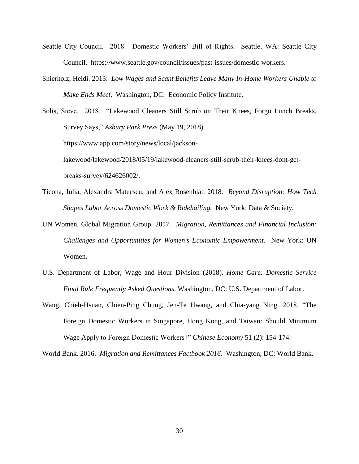- Seattle City Council. 2018. Domestic Workers' Bill of Rights. Seattle, WA: Seattle City Council. https://www.seattle.gov/council/issues/past-issues/domestic-workers.
- Shierholz, Heidi. 2013. *Low Wages and Scant Benefits Leave Many In-Home Workers Unable to Make Ends Meet*. Washington, DC: Economic Policy Institute.

Solis, Steve. 2018. "Lakewood Cleaners Still Scrub on Their Knees, Forgo Lunch Breaks, Survey Says," *Asbury Park Press* (May 19, 2018). https://www.app.com/story/news/local/jacksonlakewood/lakewood/2018/05/19/lakewood-cleaners-still-scrub-their-knees-dont-getbreaks-survey/624626002/.

- Ticona, Julia, Alexandra Mateescu, and Alex Rosenblat. 2018. *Beyond Disruption: How Tech Shapes Labor Across Domestic Work & Ridehailing.* New York: Data & Society.
- UN Women, Global Migration Group. 2017. *Migration, Remittances and Financial Inclusion: Challenges and Opportunities for Women's Economic Empowerment.* New York: UN Women.
- U.S. Department of Labor, Wage and Hour Division (2018). *Home Care: Domestic Service Final Rule Frequently Asked Questions.* Washington, DC: U.S. Department of Labor.
- Wang, Chieh-Hsuan, Chien-Ping Chung, Jen-Te Hwang, and Chia-yang Ning. 2018. "The Foreign Domestic Workers in Singapore, Hong Kong, and Taiwan: Should Minimum Wage Apply to Foreign Domestic Workers?" *Chinese Economy* 51 (2): 154-174.

World Bank. 2016. *Migration and Remittances Factbook 2016.* Washington, DC: World Bank.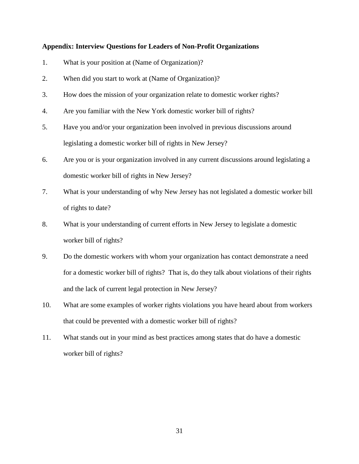#### **Appendix: Interview Questions for Leaders of Non-Profit Organizations**

- 1. What is your position at (Name of Organization)?
- 2. When did you start to work at (Name of Organization)?
- 3. How does the mission of your organization relate to domestic worker rights?
- 4. Are you familiar with the New York domestic worker bill of rights?
- 5. Have you and/or your organization been involved in previous discussions around legislating a domestic worker bill of rights in New Jersey?
- 6. Are you or is your organization involved in any current discussions around legislating a domestic worker bill of rights in New Jersey?
- 7. What is your understanding of why New Jersey has not legislated a domestic worker bill of rights to date?
- 8. What is your understanding of current efforts in New Jersey to legislate a domestic worker bill of rights?
- 9. Do the domestic workers with whom your organization has contact demonstrate a need for a domestic worker bill of rights? That is, do they talk about violations of their rights and the lack of current legal protection in New Jersey?
- 10. What are some examples of worker rights violations you have heard about from workers that could be prevented with a domestic worker bill of rights?
- 11. What stands out in your mind as best practices among states that do have a domestic worker bill of rights?

31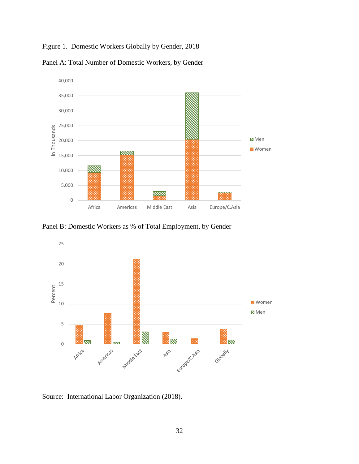Figure 1. Domestic Workers Globally by Gender, 2018



Panel A: Total Number of Domestic Workers, by Gender

Panel B: Domestic Workers as % of Total Employment, by Gender



Source: International Labor Organization (2018).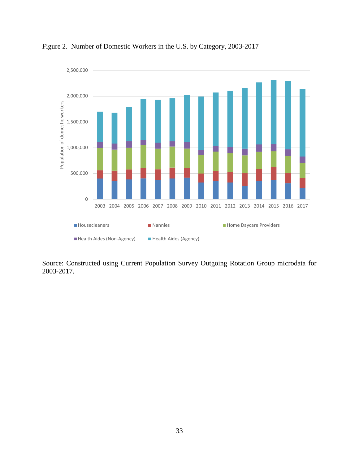

Figure 2. Number of Domestic Workers in the U.S. by Category, 2003-2017

Source: Constructed using Current Population Survey Outgoing Rotation Group microdata for 2003-2017.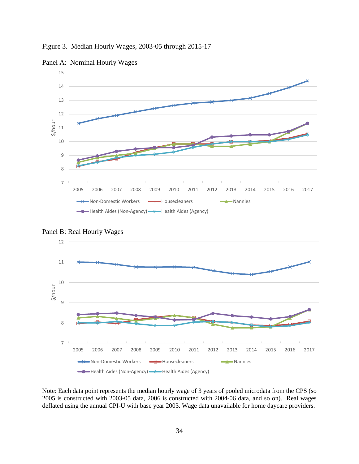Figure 3. Median Hourly Wages, 2003-05 through 2015-17



Panel A: Nominal Hourly Wages





Note: Each data point represents the median hourly wage of 3 years of pooled microdata from the CPS (so 2005 is constructed with 2003-05 data, 2006 is constructed with 2004-06 data, and so on). Real wages deflated using the annual CPI-U with base year 2003. Wage data unavailable for home daycare providers.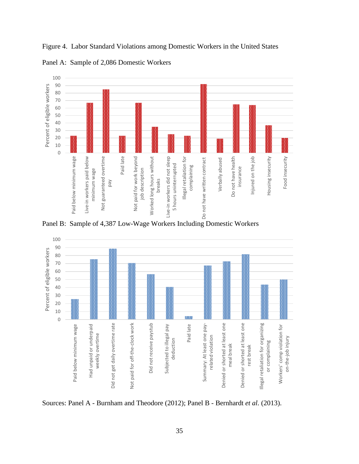

Figure 4. Labor Standard Violations among Domestic Workers in the United States

Panel A: Sample of 2,086 Domestic Workers

Panel B: Sample of 4,387 Low-Wage Workers Including Domestic Workers



Sources: Panel A - Burnham and Theodore (2012); Panel B - Bernhardt *et al.* (2013).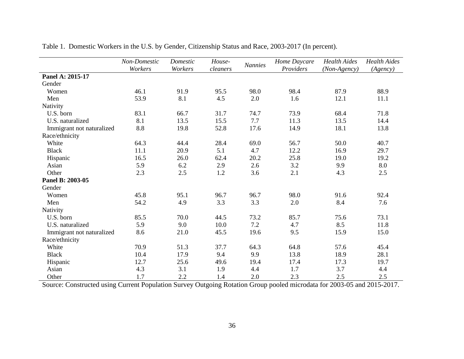|                           | Non-Domestic<br>Workers | Domestic<br>Workers | House-<br>cleaners | <b>Nannies</b> | Home Daycare<br>Providers | <b>Health Aides</b><br>(Non-Agency) | <b>Health Aides</b><br>(Agency) |
|---------------------------|-------------------------|---------------------|--------------------|----------------|---------------------------|-------------------------------------|---------------------------------|
| Panel A: 2015-17          |                         |                     |                    |                |                           |                                     |                                 |
| Gender                    |                         |                     |                    |                |                           |                                     |                                 |
| Women                     | 46.1                    | 91.9                | 95.5               | 98.0           | 98.4                      | 87.9                                | 88.9                            |
| Men                       | 53.9                    | 8.1                 | 4.5                | 2.0            | 1.6                       | 12.1                                | 11.1                            |
| Nativity                  |                         |                     |                    |                |                           |                                     |                                 |
| U.S. born                 | 83.1                    | 66.7                | 31.7               | 74.7           | 73.9                      | 68.4                                | 71.8                            |
| U.S. naturalized          | 8.1                     | 13.5                | 15.5               | 7.7            | 11.3                      | 13.5                                | 14.4                            |
| Immigrant not naturalized | 8.8                     | 19.8                | 52.8               | 17.6           | 14.9                      | 18.1                                | 13.8                            |
| Race/ethnicity            |                         |                     |                    |                |                           |                                     |                                 |
| White                     | 64.3                    | 44.4                | 28.4               | 69.0           | 56.7                      | 50.0                                | 40.7                            |
| <b>Black</b>              | 11.1                    | 20.9                | 5.1                | 4.7            | 12.2                      | 16.9                                | 29.7                            |
| Hispanic                  | 16.5                    | 26.0                | 62.4               | 20.2           | 25.8                      | 19.0                                | 19.2                            |
| Asian                     | 5.9                     | 6.2                 | 2.9                | 2.6            | 3.2                       | 9.9                                 | 8.0                             |
| Other                     | 2.3                     | 2.5                 | 1.2                | 3.6            | 2.1                       | 4.3                                 | 2.5                             |
| Panel B: 2003-05          |                         |                     |                    |                |                           |                                     |                                 |
| Gender                    |                         |                     |                    |                |                           |                                     |                                 |
| Women                     | 45.8                    | 95.1                | 96.7               | 96.7           | 98.0                      | 91.6                                | 92.4                            |
| Men                       | 54.2                    | 4.9                 | 3.3                | 3.3            | 2.0                       | 8.4                                 | 7.6                             |
| Nativity                  |                         |                     |                    |                |                           |                                     |                                 |
| U.S. born                 | 85.5                    | 70.0                | 44.5               | 73.2           | 85.7                      | 75.6                                | 73.1                            |
| U.S. naturalized          | 5.9                     | 9.0                 | 10.0               | 7.2            | 4.7                       | 8.5                                 | 11.8                            |
| Immigrant not naturalized | 8.6                     | 21.0                | 45.5               | 19.6           | 9.5                       | 15.9                                | 15.0                            |
| Race/ethnicity            |                         |                     |                    |                |                           |                                     |                                 |
| White                     | 70.9                    | 51.3                | 37.7               | 64.3           | 64.8                      | 57.6                                | 45.4                            |
| <b>Black</b>              | 10.4                    | 17.9                | 9.4                | 9.9            | 13.8                      | 18.9                                | 28.1                            |
| Hispanic                  | 12.7                    | 25.6                | 49.6               | 19.4           | 17.4                      | 17.3                                | 19.7                            |
| Asian                     | 4.3                     | 3.1                 | 1.9                | 4.4            | 1.7                       | 3.7                                 | 4.4                             |
| Other                     | 1.7                     | 2.2                 | 1.4                | 2.0            | 2.3                       | 2.5                                 | 2.5                             |

Table 1. Domestic Workers in the U.S. by Gender, Citizenship Status and Race, 2003-2017 (In percent).

Source: Constructed using Current Population Survey Outgoing Rotation Group pooled microdata for 2003-05 and 2015-2017.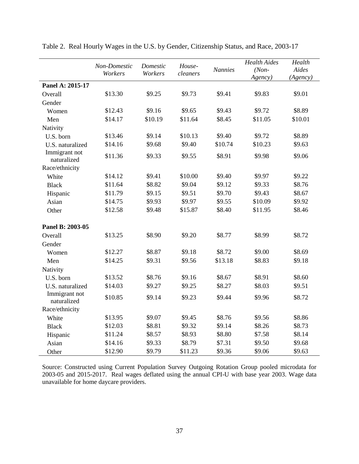|                              |                         |                     |                    |                | <b>Health Aides</b> | Health   |
|------------------------------|-------------------------|---------------------|--------------------|----------------|---------------------|----------|
|                              | Non-Domestic<br>Workers | Domestic<br>Workers | House-<br>cleaners | <b>Nannies</b> | $(Non-$             | Aides    |
|                              |                         |                     |                    |                | Agency)             | (Agency) |
| Panel A: 2015-17             |                         |                     |                    |                |                     |          |
| Overall                      | \$13.30                 | \$9.25              | \$9.73             | \$9.41         | \$9.83              | \$9.01   |
| Gender                       |                         |                     |                    |                |                     |          |
| Women                        | \$12.43                 | \$9.16              | \$9.65             | \$9.43         | \$9.72              | \$8.89   |
| Men                          | \$14.17                 | \$10.19             | \$11.64            | \$8.45         | \$11.05             | \$10.01  |
| Nativity                     |                         |                     |                    |                |                     |          |
| U.S. born                    | \$13.46                 | \$9.14              | \$10.13            | \$9.40         | \$9.72              | \$8.89   |
| U.S. naturalized             | \$14.16                 | \$9.68              | \$9.40             | \$10.74        | \$10.23             | \$9.63   |
| Immigrant not<br>naturalized | \$11.36                 | \$9.33              | \$9.55             | \$8.91         | \$9.98              | \$9.06   |
| Race/ethnicity               |                         |                     |                    |                |                     |          |
| White                        | \$14.12                 | \$9.41              | \$10.00            | \$9.40         | \$9.97              | \$9.22   |
| <b>Black</b>                 | \$11.64                 | \$8.82              | \$9.04             | \$9.12         | \$9.33              | \$8.76   |
| Hispanic                     | \$11.79                 | \$9.15              | \$9.51             | \$9.70         | \$9.43              | \$8.67   |
| Asian                        | \$14.75                 | \$9.93              | \$9.97             | \$9.55         | \$10.09             | \$9.92   |
| Other                        | \$12.58                 | \$9.48              | \$15.87            | \$8.40         | \$11.95             | \$8.46   |
| Panel B: 2003-05             |                         |                     |                    |                |                     |          |
| Overall                      | \$13.25                 | \$8.90              | \$9.20             | \$8.77         | \$8.99              | \$8.72   |
| Gender                       |                         |                     |                    |                |                     |          |
| Women                        | \$12.27                 | \$8.87              | \$9.18             | \$8.72         | \$9.00              | \$8.69   |
| Men                          | \$14.25                 | \$9.31              | \$9.56             | \$13.18        | \$8.83              | \$9.18   |
| Nativity                     |                         |                     |                    |                |                     |          |
| U.S. born                    | \$13.52                 | \$8.76              | \$9.16             | \$8.67         | \$8.91              | \$8.60   |
| U.S. naturalized             | \$14.03                 | \$9.27              | \$9.25             | \$8.27         | \$8.03              | \$9.51   |
| Immigrant not<br>naturalized | \$10.85                 | \$9.14              | \$9.23             | \$9.44         | \$9.96              | \$8.72   |
| Race/ethnicity               |                         |                     |                    |                |                     |          |
| White                        | \$13.95                 | \$9.07              | \$9.45             | \$8.76         | \$9.56              | \$8.86   |
| <b>Black</b>                 | \$12.03                 | \$8.81              | \$9.32             | \$9.14         | \$8.26              | \$8.73   |
| Hispanic                     | \$11.24                 | \$8.57              | \$8.93             | \$8.80         | \$7.58              | \$8.14   |
| Asian                        | \$14.16                 | \$9.33              | \$8.79             | \$7.31         | \$9.50              | \$9.68   |
| Other                        | \$12.90                 | \$9.79              | \$11.23            | \$9.36         | \$9.06              | \$9.63   |

Table 2. Real Hourly Wages in the U.S. by Gender, Citizenship Status, and Race, 2003-17

Source: Constructed using Current Population Survey Outgoing Rotation Group pooled microdata for 2003-05 and 2015-2017. Real wages deflated using the annual CPI-U with base year 2003. Wage data unavailable for home daycare providers.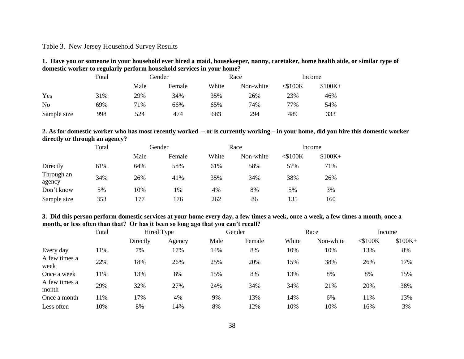#### Table 3. New Jersey Household Survey Results

**1. Have you or someone in your household ever hired a maid, housekeeper, nanny, caretaker, home health aide, or similar type of domestic worker to regularly perform household services in your home?**

|                | Total |      | Gender |       | Race      | Income     |          |
|----------------|-------|------|--------|-------|-----------|------------|----------|
|                |       | Male | Female | White | Non-white | $<$ \$100K | $$100K+$ |
| Yes            | 31%   | 29%  | 34%    | 35%   | 26%       | 23%        | 46%      |
| N <sub>o</sub> | 69%   | 71%  | 66%    | 65%   | 74%       | 77%        | 54%      |
| Sample size    | 998   | 524  | 474    | 683   | 294       | 489        | 333      |

#### **2. As for domestic worker who has most recently worked – or is currently working – in your home, did you hire this domestic worker directly or through an agency?**

|                      | Total |      | Gender |       | Race      | Income     |          |
|----------------------|-------|------|--------|-------|-----------|------------|----------|
|                      |       | Male | Female | White | Non-white | $<$ \$100K | $$100K+$ |
| Directly             | 61%   | 64%  | 58%    | 61%   | 58%       | 57%        | 71%      |
| Through an<br>agency | 34%   | 26%  | 41%    | 35%   | 34%       | 38%        | 26%      |
| Don't know           | 5%    | 10%  | 1%     | 4%    | 8%        | 5%         | 3%       |
| Sample size          | 353   | 177  | 176    | 262   | 86        | 135        | 160      |

#### **3. Did this person perform domestic services at your home every day, a few times a week, once a week, a few times a month, once a month, or less often than that? Or has it been so long ago that you can't recall?**

|                        | Total |          | Hired Type |      | Gender |       | Race      |            | Income   |
|------------------------|-------|----------|------------|------|--------|-------|-----------|------------|----------|
|                        |       | Directly | Agency     | Male | Female | White | Non-white | $<$ \$100K | $$100K+$ |
| Every day              | 11%   | 7%       | 17%        | 14%  | 8%     | 10%   | 10%       | 13%        | 8%       |
| A few times a<br>week  | 22%   | 18%      | 26%        | 25%  | 20%    | 15%   | 38%       | 26%        | 17%      |
| Once a week            | 11%   | 13%      | 8%         | 15%  | 8%     | 13%   | 8%        | 8%         | 15%      |
| A few times a<br>month | 29%   | 32%      | 27%        | 24%  | 34%    | 34%   | 21%       | 20%        | 38%      |
| Once a month           | 11%   | 17%      | 4%         | 9%   | 13%    | 14%   | 6%        | 11%        | 13%      |
| Less often             | 10%   | 8%       | 14%        | 8%   | 12%    | 10%   | 10%       | 16%        | 3%       |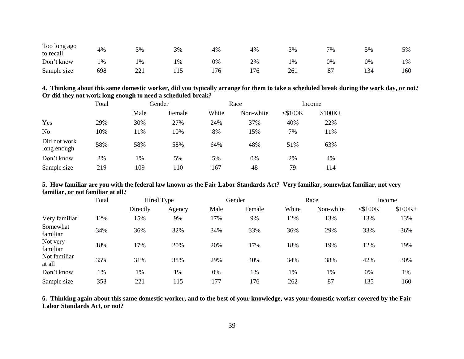| Too long ago<br>to recall | 4%  | 3%      | 3% | 4%  | 4%  | 3%    | 7% | 5%  | 5%  |
|---------------------------|-----|---------|----|-----|-----|-------|----|-----|-----|
| Don't know                | 1%  | 1%      | 1% | 0%  | 2%  | $1\%$ | 0% | 0%  | 1%  |
| Sample size               | 698 | $- - 1$ |    | 176 | 176 | 261   | 87 | 134 | 160 |

| 4. Thinking about this same domestic worker, did you typically arrange for them to take a scheduled break during the work day, or not? |
|----------------------------------------------------------------------------------------------------------------------------------------|
| Or did they not work long enough to need a scheduled break?                                                                            |

|                             | Total | Gender |        |       | Race      | Income     |          |
|-----------------------------|-------|--------|--------|-------|-----------|------------|----------|
|                             |       | Male   | Female | White | Non-white | $<$ \$100K | $$100K+$ |
| Yes                         | 29%   | 30%    | 27%    | 24%   | 37%       | 40%        | 22%      |
| N <sub>o</sub>              | 10%   | 11%    | 10%    | 8%    | 15%       | 7%         | 11%      |
| Did not work<br>long enough | 58%   | 58%    | 58%    | 64%   | 48%       | 51%        | 63%      |
| Don't know                  | 3%    | 1%     | 5%     | 5%    | 0%        | 2%         | 4%       |
| Sample size                 | 219   | 109    | 110    | 167   | 48        | 79         | 114      |

#### **5. How familiar are you with the federal law known as the Fair Labor Standards Act? Very familiar, somewhat familiar, not very familiar, or not familiar at all?**

|                        | Total |          | Hired Type |      | Gender |       | Race      |            | Income   |  |
|------------------------|-------|----------|------------|------|--------|-------|-----------|------------|----------|--|
|                        |       | Directly | Agency     | Male | Female | White | Non-white | $<$ \$100K | $$100K+$ |  |
| Very familiar          | 12%   | 15%      | 9%         | 17%  | 9%     | 12%   | 13%       | 13%        | 13%      |  |
| Somewhat<br>familiar   | 34%   | 36%      | 32%        | 34%  | 33%    | 36%   | 29%       | 33%        | 36%      |  |
| Not very<br>familiar   | 18%   | 17%      | 20%        | 20%  | 17%    | 18%   | 19%       | 12%        | 19%      |  |
| Not familiar<br>at all | 35%   | 31%      | 38%        | 29%  | 40%    | 34%   | 38%       | 42%        | 30%      |  |
| Don't know             | 1%    | 1%       | 1%         | 0%   | 1%     | 1%    | 1%        | 0%         | 1%       |  |
| Sample size            | 353   | 221      | 115        | 177  | 176    | 262   | 87        | 135        | 160      |  |

**6. Thinking again about this same domestic worker, and to the best of your knowledge, was your domestic worker covered by the Fair Labor Standards Act, or not?**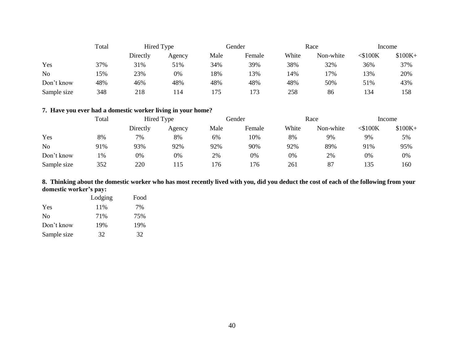|                | Total<br>Hired Type |          | Gender |      | Race   |       | Income    |            |          |
|----------------|---------------------|----------|--------|------|--------|-------|-----------|------------|----------|
|                |                     | Directly | Agency | Male | Female | White | Non-white | $<$ \$100K | $$100K+$ |
| Yes            | 37%                 | 31%      | 51%    | 34%  | 39%    | 38%   | 32%       | 36%        | 37%      |
| N <sub>o</sub> | 5%                  | 23%      | 0%     | 18%  | 13%    | 14%   | 17%       | 13%        | 20%      |
| Don't know     | 48%                 | 46%      | 48%    | 48%  | 48%    | 48%   | 50%       | 51%        | 43%      |
| Sample size    | 348                 | 218      | 14     | 175  | 173    | 258   | 86        | 134        | 158      |

#### **7. Have you ever had a domestic worker living in your home?**

|             | Total | Hired Type |        | Gender |        | Race  |           | Income     |          |
|-------------|-------|------------|--------|--------|--------|-------|-----------|------------|----------|
|             |       | Directly   | Agency | Male   | Female | White | Non-white | $<$ \$100K | $$100K+$ |
| Yes         | 8%    | 7%         | 8%     | 6%     | 10%    | 8%    | 9%        | 9%         | 5%       |
| <b>No</b>   | 91%   | 93%        | 92%    | 92%    | 90%    | 92%   | 89%       | 91%        | 95%      |
| Don't know  | 1%    | 0%         | 0%     | 2%     | 0%     | 0%    | 2%        | 0%         | 0%       |
| Sample size | 352   | 220        | 15     | 176    | '76    | 261   | 87        | 135        | 160      |

#### **8. Thinking about the domestic worker who has most recently lived with you, did you deduct the cost of each of the following from your domestic worker's pay:**

|             | Lodging | Food |
|-------------|---------|------|
| Yes         | 11\%    | 7%   |
| No          | 71%     | 75%  |
| Don't know  | 19%     | 19%  |
| Sample size | 32      | 32   |